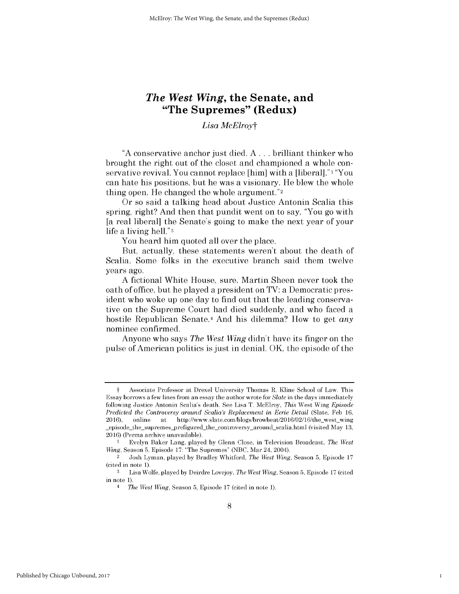# *The West Wing,* **the Senate, and "The Supremes" (Redux)**

# *Lisa McElroyt*

**"A** conservative anchor just died. **A ...** brilliant thinker who brought the right out of the closet and championed a whole conservative revival. You cannot replace [him] with a [liberal].<sup>"1</sup> "You can hate his positions, but he was a visionary. He blew the whole thing open. He changed the whole argument."2

Or so said a talking head about Justice Antonin Scalia this spring, right? And then that pundit went on to say, "You go with [a real liberal] the Senate's going to make the next year of your life a living hell."3

You heard him quoted all over the place.

But, actually, these statements weren't about the death of Scalia. Some folks in the executive branch said them twelve years ago.

**A** fictional White House, sure. Martin Sheen never took the oath of office, but he played a president on TV: a Democratic president who woke up one day to find out that the leading conservative on the Supreme Court had died suddenly, and who faced a hostile Republican Senate.4 And his dilemma? How to get *any* nominee confirmed.

Anyone who says *The West Wing* didn't have its finger on the pulse of American politics is just in denial. OK, the episode of the

1

t Associate Professor at Drexel University Thomas R. Kline School of Law. This Essay borrows a few lines from an essay the author wrote for *Slate* in the days immediately following Justice Antonin Scalia's death. **See** Lisa T. McElroy, *This* West Wing *Episode Predicted the Controversy around Scalia's Replacement in Eerie Detail (Slate, Feb 16, 2016), online at http://www.slate.com/blogs/browbeat/2016/02/16/the\_west\_wing* http://www.slate.com/blogs/browbeat/2016/02/16/the\_west\_wing episode-the-supremes-prefigured-the-controversy-around-scalia.html (visited May **13,** 2016) (Perma archive unavailable).

<sup>1</sup> Evelyn Baker Lang, played **by** Glenn Close, in Television Broadcast, *The West Wing,* Season **5,** Episode **17:** "The Supremes" **(NBC,** Mar 24, 2004).

<sup>2</sup>Josh Lyman, played **by** Bradley Whitford, *The West Wing,* Season **5,** Episode **17** (cited in note **1).**

**<sup>3</sup>**Lisa Wolfe, played **by** Deirdre Lovejoy, *The West Wing,* Season **5,** Episode **17** (cited in note **1).**

<sup>4</sup>*The West Wing,* Season **5,** Episode **17** (cited in note **1).**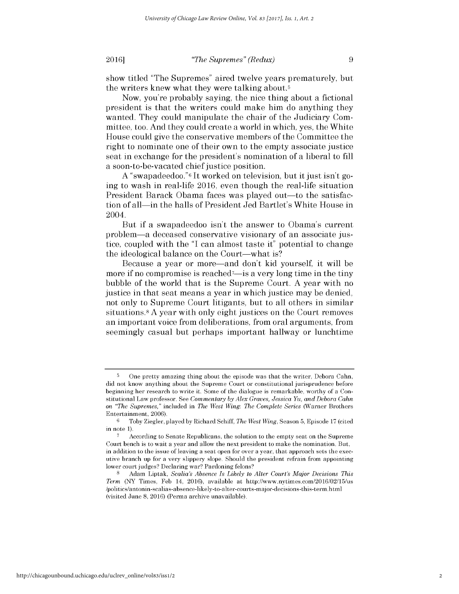**2016** *Physical definition of the Supremes" (Redux)* **<b>9** 

show titled "The Supremes" aired twelve years prematurely, but the writers knew what they were talking about.5

Now, you're probably saying, the nice thing about a fictional president is that the writers could make him do anything they wanted. They could manipulate the chair of the Judiciary Committee, too. And they could create a world in which, yes, the White House could give the conservative members of the Committee the right to nominate one of their own to the empty associate justice seat in exchange for the president's nomination of a liberal to **fill** a soon-to-be-vacated chief justice position.

**A** "swap adeedoo."6 It worked on television, but it just isn't going to wash in real-life **2016,** even though the real-life situation President Barack Obama faces was played out—to the satisfaction of all—in the halls of President Jed Bartlet's White House in 2004.

But **if** a swapadeedoo isn't the answer to Obama's current problem-a deceased conservative visionary of an associate **jus**tice, coupled with the **"I** can almost taste it" potential to change the ideological balance on the Court-what is?

Because a year or more-and don't **kid** yourself, it will be more if no compromise is reached<sup>7</sup>—is a very long time in the tiny bubble of the world that is the Supreme Court. **A** year with no justice in that seat means a year in which justice may be denied, not only to Supreme Court litigants, but to all others in similar situations.8 A year with only eight justices on the Court removes an important voice from deliberations, from oral arguments, from seemingly casual but perhaps important hallway or lunchtime

**<sup>5</sup>** One pretty amazing thing about the episode was that the writer, Debora Cahn, did not know anything about the Supreme Court or constitutional jurisprudence before beginning her research to write it. Some of the dialogue is remarkable, worthy of a Constitutional Law professor. **See** *Commentary by Alex Graves, Jessica Yu, and Debora Cahn on "The Supremes,"* included in *The West Wing: The Complete Series* (Warner Brothers Entertainment, 2006).<br>  $6 \t{\text{Cobv Ziooler}}$ 

**<sup>6</sup>**Toby Ziegler, played **by** Richard **Schiff,** *The West Wing,* Season **5,** Episode **17** (cited in note **1).**

**<sup>7</sup>** According to Senate Republicans, the solution to the empty seat on the Supreme Court bench is to wait a year and allow the next president to make the nomination. But, in addition to the issue of leaving a seat open for over a year, that approach sets the executive branch up for a very slippery slope. Should the president refrain from appointing lower court judges? Declaring war? Pardoning felons?

**<sup>8</sup>**Adam Liptak, *Scalia's Absence Is Likely to Alter Court's Major Decisions This Term* (NY Times, **Feb** 14, 2016), available at http://www.nytimes.com/2016/02/15/us /politics/antonin-scalias-absence-likely-to-alter-courts-major-decisions-this-term.html (visited June **8, 2016)** (Perma archive unavailable).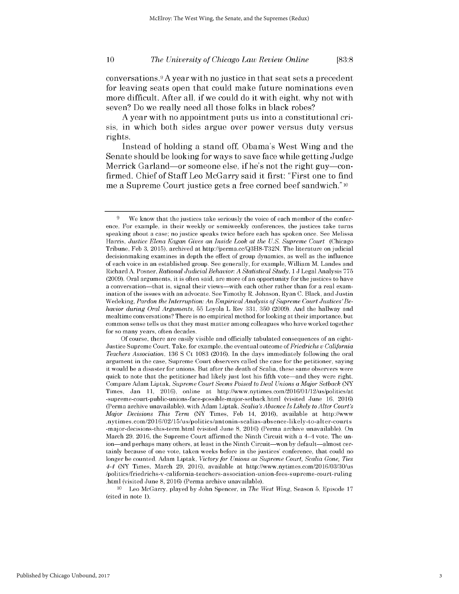#### **10** *The University of Chicago Law Review Online* **[83:8**

conversations.9 **A** year with no justice in that seat sets a precedent for leaving seats open that could make future nominations even more difficult. After all, **if** we could do it with eight, why not with seven? Do we really need all those folks in black robes?

**A** year with no appointment puts us into a constitutional cri*sis,* in which both sides argue over power versus duty versus rights.

Instead of holding a stand off, Obama's West Wing and the Senate should be looking for ways to save face while getting Judge Merrick Garland-or someone else, **if** he's not the right guy-confirmed. Chief of Staff Leo McGarry said it first: "First one to find me a Supreme Court justice gets a free corned beef sandwich." **<sup>10</sup>**

**<sup>10</sup>**Leo McGarry, played **by** John Spencer, in *The West Wing,* Season **5,** Episode **17** (cited in note **1).**

3

**<sup>9</sup>** We know that the justices take seriously the voice of each member of the conference. For example, in their weekly or semiweekly conferences, the justices take turns speaking about a case; no justice speaks twice before each has spoken once. **See** Melissa Harris, *Justice Elena Kagan Gives an Inside Look at the U.S. Supreme Court* (Chicago Tribune, **Feb 3, 2015),** archived at http://perma.cc/Q3H8-T32N. The literature on judicial decisionmaking examines in depth the effect of group dynamics, as well as the influence of each voice in an established group. **See** generally, for example, William M. Landes and Richard **A.** Posner, *Rational Judicial Behavior: A Statistical Study,* 1 **J** Legal Analysis **775 (2009).** Oral arguments, **it** is often said, are more of an opportunity for the justices to have a conversation-that is, signal their views-with each other rather than for a real examination of the issues with an advocate. **See** Timothy R. Johnson, Ryan **C.** Black, and Justin Wedeking, *Pardon the Interruption: An Empirical Analysis of Supreme Court Justices'Behavior during Oral Arguments,* **55** Loyola L Rev **331, 350 (2009).** And the hallway and mealtime conversations? There is no empirical method for looking at their importance, but common sense tells us that they must matter among colleagues who have worked together for so many years, often decades.

**Of** course, there are easily visible and officially tabulated consequences of an eight-Justice Supreme Court. Take, for example, the eventual outcome of *Friedrichs v California Teachers Association,* **136 S** Ct **1083** (2016). In the days immediately following the oral argument in the case, Supreme Court observers called the case for the petitioner, saying it would **be** a disaster for unions. But after the death of Scalia, these same observers were quick to note that the petitioner had **likely** just lost his fifth vote-and they were right. Compare Adam Liptak, *Supreme Court Seems Poised to Deal Unions aMajor Setback* (NY Times, Jan **11,** 2016), online at http://www.nytimes.com/2016/01/12/us/politics/at -supreme-court-public-unions-face-possible-major-setback.html (visited June **16,** 2016) (Perma archive unavailable), with Adam Liptak, *Scalia's Absence Is Likely to Alter Court's Major Decisions This Term* (NY Times, **Feb** 14, 2016), available at http://www .nytimes.com/20 16/02/15/us/politics/antonin-scalias-absence-likely-to-alter-courts -major-decisions-this-term.html (visited June **8,** 2016) (Perma archive unavailable). On March **29, 2016,** the Supreme Court affirmed the Ninth Circuit with a 4-4 vote. The union—and perhaps many others, at least in the Ninth Circuit—won by default—almost certainly because of one vote, taken weeks before in the justices' conference, that could no longer **be** counted. Adam Liptak, *Victory for Unions as Supreme Court, Scalia Gone, Ties 4-4* (NY Times, March **29,** 2016), available at http://www.nytimes.com/2016/03/30/us /politics/friedrichs-v-california-teachers-association-union-fees-supreme-court-ruling .html (visited June **8,** 2016) (Perma archive unavailable).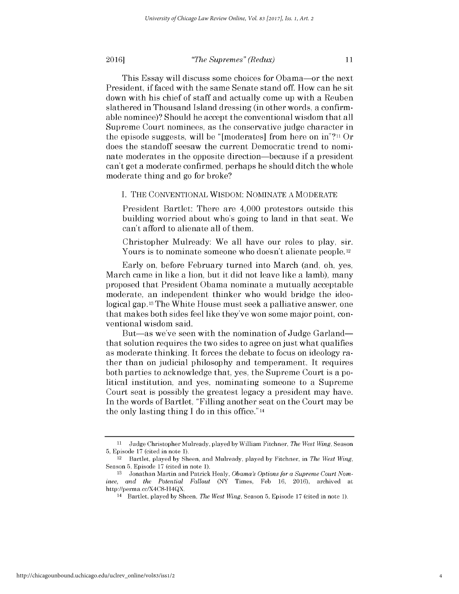#### **2016** *PHODER Supremes" (Redux)* **11**

This Essay will **discuss** some choices for Obama-or the next President, **if** faced with the same Senate stand off. How can he sit down with his chief of staff and actually come up with a Reuben slathered in Thousand Island dressing (in other words, a confirmable nominee)? Should he accept the conventional wisdom that all Supreme Court nominees, as the conservative judge character in the episode suggests, will be "[moderates] from here on in"?ii Or does the standoff seesaw the current Democratic trend to nominate moderates in the opposite direction-because **if** a president can't get a moderate confirmed, perhaps he should ditch the whole moderate thing and go for broke?

### **I.** THE **CONVENTIONAL** WISDOM: **NOMINATE A** MODERATE

President Bartlet: There are 4,000 protestors outside this building worried about who's going to land in that seat. We can't afford to alienate all of them.

Christopher Mulready: We all have our roles to play, sir. Yours is to nominate someone who doesn't alienate people.<sup>12</sup>

Early on, before February turned into March (and, oh, yes, March came in like a lion, but it **did** not leave like a lamb), many proposed that President Obama nominate a mutually acceptable moderate, an independent thinker who would bridge the ideological gap. <sup>13</sup>The White House must seek a palliative answer, one that makes both sides feel like they've won some major point, conventional wisdom said.

But—as we've seen with the nomination of Judge Garland that solution requires the two sides to agree on just what qualifies as moderate thinking. It forces the debate to focus on ideology rather than on judicial philosophy and temperament. It requires both parties to acknowledge that, yes, the Supreme Court is a political institution, and yes, nominating someone to a Supreme Court seat is possibly the greatest legacy a president may have. In the words of Bartlet, "Filling another seat on the Court may be the only lasting thing **I** do in this office." <sup>14</sup>

**<sup>11</sup>**Judge Christopher Mulready, played **by** William Fitchner, *The West Wing,* Season **5,** Episode **17** (cited in note **1).**

<sup>&</sup>lt;sup>12</sup> Bartlet, played by Sheen, and Mulready, played by Fitchner, in *The West Wing*, Season **5,** Episode **17** (cited in note **1).**

**<sup>13</sup>** Jonathan Martin and Patrick Healy, *Obama's Options for a Supreme Court Nominee, and the Potential Fallout* (NY Times, **Feb 16,** 2016), archived at http://perma.cc/X4C8-H4QX.

<sup>14</sup>Bartlet, played **by** Sheen, *The West Wing,* Season **5,** Episode **17** (cited in note **1).**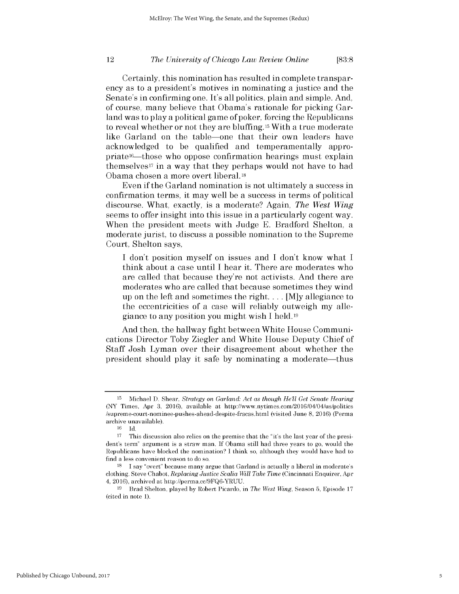### *The University of Chicago Law Review Online* 12 **[83:8**

Certainly, this nomination has resulted in complete transparency as to a president's motives in nominating a justice and the Senate's in confirming one. It's all politics, plain and simple. And, of course, many believe that Obama's rationale for picking Garland was to play a political game of poker, forcing the Republicans to reveal whether or not they are bluffing. 15 With a true moderate like Garland on the table-one that their own leaders have acknowledged to be qualified and temperamentally appropriate<sup>16</sup>—those who oppose confirmation hearings must explain themselves<sup>17</sup> in a way that they perhaps would not have to had Obama chosen a more overt liberal. **<sup>18</sup>**

Even **if** the Garland nomination is not ultimately a success in confirmation terms, it may well be a success in terms of political discourse. What, exactly, is a moderate? Again, *The West Wing* seems to offer insight into this issue in a particularly cogent way. When the president meets with Judge **E.** Bradford Shelton, a moderate jurist, to discuss a possible nomination to the Supreme Court, Shelton says,

**I** don't position myself on issues and **I** don't know what **I** think about a case until **I** hear it. There are moderates who are called that because they're not activists. And there are moderates who are called that because sometimes they wind up on the left and sometimes the right. . . **. [M]y** allegiance to the eccentricities of a case will reliably outweigh my allegiance to any position you might wish **I** held.19

And then, the hallway fight between White House Communications Director Toby Ziegler and White House Deputy Chief of Staff Josh Lyman over their disagreement about whether the president should play it safe **by** nominating a moderate-thus

**<sup>15</sup>**Michael **D.** Shear, *Strategy on Garland: Act as though Hell Get Senate Hearing* (NY Times, Apr **3,** 2016), available at http://www.nytimes.com/2016/04/04/us/politics /supreme-court-nominee-pushes-ahead-despite-fracas.html (visited June **8,** 2016) (Perma archive unavailable).<br> $^{16}$  Ld

**<sup>16</sup>Id.**

**<sup>17</sup>** This discussion also relies on the premise that the "it's the last year of the president's term" argument is a straw man. **If** Obama still had three years to go, would the Republicans have blocked the nomination? **I** think so, although they would have had to find a less convenient reason to do so.

**<sup>18</sup>**I say "overt" because many argue that Garland is actually a liberal in moderate's clothing. Steve Chabot, *Replacing Justice Scalia Will Take Time* (Cincinnati Enquirer, Apr 4, **2016),** archived at http://perma.cc/9FQ6-YRUU.

**<sup>19</sup>**Brad Shelton, played **by** Robert Picardo, in *The West Wing,* Season **5,** Episode **17** (cited in note **1).**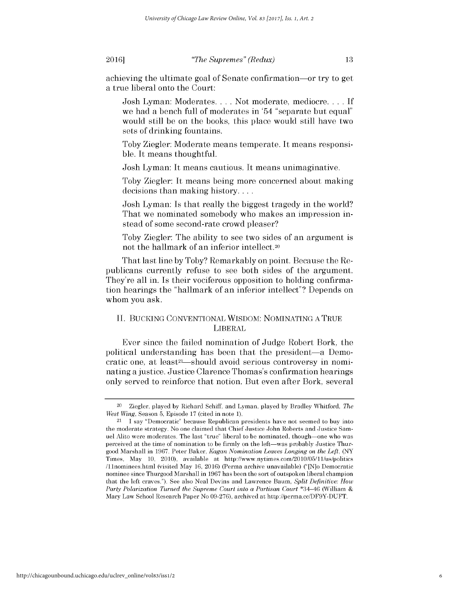**2016** *Physical definition is the Supremes" (Redux)* **<b>13** 

achieving the ultimate goal of Senate confirmation-or try to get a true liberal onto the Court:

Josh Lyman: Moderates. . . **.** Not moderate, mediocre. . . **. If** we had a bench full of moderates in '54 "separate but equal" would still be on the books, this place would still have two sets of drinking fountains.

Toby Ziegler: Moderate means temperate. It means responsible. It means thoughtful.

Josh Lyman: It means cautious. It means unimaginative.

Toby Ziegler: It means being more concerned about making decisions than making history....

Josh Lyman: Is that really the biggest tragedy in the world? That we nominated somebody who makes an impression instead of some second-rate crowd pleaser?

Toby Ziegler: The ability to see two sides of an argument **is** not the hallmark of an inferior intellect.20

That last line **by** Toby? Remarkably on point. Because the Republicans currently refuse to see both sides of the argument. They're all in. Is their vociferous opposition to holding confirmation hearings the "hallmark of an inferior intellect"? Depends on whom you ask.

# **II.** BUCKING **CONVENTIONAL** WISDOM: **NOMINATING A** TRUE **LIBERAL**

Ever since the failed nomination of Judge Robert Bork, the political understanding has been that the president-a Democratic one, at least<sup>21</sup>—should avoid serious controversy in nominating a justice. Justice Clarence Thomas's confirmation hearings only served to reinforce that notion. But even after Bork, several

<sup>20</sup>Ziegler, played **by** Richard **Schiff,** and Lyman, played **by** Bradley Whitford, *The West Wing,* Season **5,** Episode **17** (cited in note **1).**

 $21$  I say "Democratic" because Republican presidents have not seemed to buy into the moderate strategy. No one claimed that Chief Justice John Roberts and Justice Samuel Alito were moderates. The last "true" liberal to **be** nominated, though-one who was perceived at the time of nomination to **be** firmly on the left-was probably Justice Thurgood Marshall in **1967.** Peter Baker, *Kagan Nomination Leaves Longing on the Left,* (NY Times, May **10,** 2010), available at http://www.nytimes.com/2010/05/11/us/politics /11nominees.html (visited May **16,** 2016) (Perma archive unavailable) ("[N]o Democratic nominee since Thurgood Marshall in **1967** has been the sort of outspoken liberal champion that the **left** craves."). **See** also Neal Devins and Lawrence Baum, *Split Definitive: How Party Polarization Turned the Supreme Court into a Partisan Court \*34–46 (William &* Mary Law School Research Paper No **09-276),** archived at http://perma.cc/DF9Y-DUFT.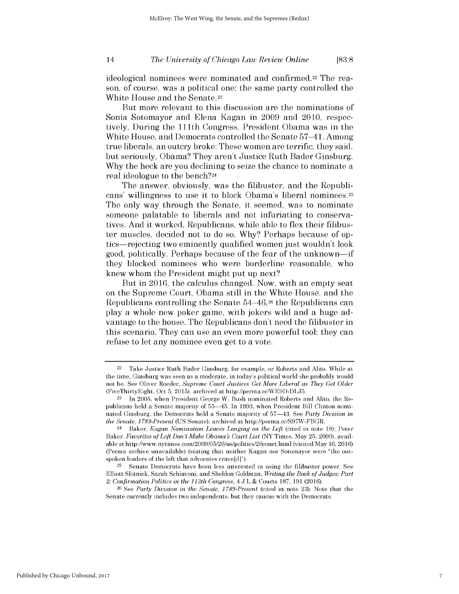### *The University of Chicago Law Review Online* 14 **[83:8**

ideological nominees were nominated and confirmed.<sup>22</sup> The reason, of course, was a political one: the same party controlled the White House and the Senate.23

But more relevant to this discussion are the nominations of Sonia Sotomayor and Elena Kagan in **2009** and 2010, respectively. During the **111th** Congress, President Obama was in the White House, and Democrats controlled the Senate 57-41. Among true liberals, an outcry broke: These women are terrific, they said, but seriously, Obama? They aren't Justice Ruth Bader Ginsburg. **Why** the heck are you declining to seize the chance to nominate a real ideologue to the bench?24

The answer, obviously, was the filibuster, and the Republicans' willingness to use it to block Obama's liberal nominees.25 The only way through the Senate, it seemed, was to nominate someone palatable to liberals and not infuriating to conservatives. And it worked. Republicans, while able to flex their filibuster muscles, decided not to do so. **Why?** Perhaps because of optics-rejecting two eminently qualified women just wouldn't look good, politically. Perhaps because of the fear of the unknown-if they blocked nominees who were borderline reasonable, who knew whom the President might put up next?

But in **2016,** the calculus changed. Now, with an empty seat on the Supreme Court, Obama still in the White House, and the Republicans controlling the Senate 54–46,<sup>26</sup> the Republicans can play a whole new poker game, with jokers wild and a huge advantage to the house. The Republicans don't need the filibuster in this scenario. They can use an even more powerful tool: they can refuse to let any nominee even get to a vote.

Take Justice Ruth Bader Ginsburg, for example, or Roberts and Alito. While at the time, Ginsburg was seen as a moderate, in today's political world she probably would not **be. See** Oliver Roeder, *Supreme Court Justices Get More Liberal as They Get Older* (FiveThirtyEight, Oct **5, 2015),** archived at http://perma.cc/WE9D-DLJ5.

**<sup>23</sup>** In **2005,** when President George W. Bush nominated Roberts and Alito, the Republicans **held** a Senate majority of **55-45.** In **1993,** when President Bill Clinton nominated Ginsburg, the Democrats **held** a Senate majority of **57-43. See** *Party Division in the Senate, I 789-Present* **(US** Senate), archived at http://perma.cc/S97W-FBGR.

<sup>24</sup>Baker, *Kagan Nomination Leaves Longing on the Left* (cited in note **18);** Peter Baker, *Favorites of Left Don't Make Obama's Court List* (NY Times, May **25, 2009),** available at http://www.nytimes.com/2009/05/26/us/politics/26court.html (visited May **16, 2016)** (Perma archive unavailable) (stating that neither Kagan nor Sotomayor were "the outspoken leaders of the **left** that advocates crave[d]").

**<sup>25</sup>**Senate Democrats have been less interested in using the filibuster power. **See** Elliott Slotnick, Sarah Schiavoni, and Sheldon Goldman, *Writing the Book of Judges: Part 2; Confirmation Politics in the 113th Congress, 4* **J** L **&** Courts **187, 191** (2016).

**<sup>26</sup>See** *Party Division in the Senate, I 789-Present* (cited in note **23).** Note that the Senate currently includes two independents, but they caucus with the Democrats.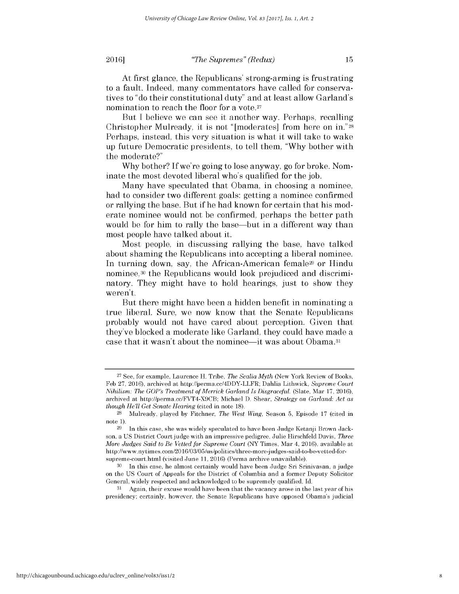**2016** *Physical definition is the Supremes" (Redux)* **<b>15** 

At first glance, the Republicans' strong-arming is frustrating to a fault. Indeed, many commentators have called for conservatives to "do their constitutional duty" and at least allow Garland's nomination to reach the floor for a vote.<sup>27</sup>

But I believe we can see it another way. Perhaps, recalling Christopher Mulready, it is not "[moderates] from here on **in."28** Perhaps, instead, this very situation is what it will take to wake up future Democratic presidents, to tell them, **"Why** bother with the moderate?"

**Why** bother? **If** we're going to lose anyway, go for broke. Nominate the most devoted liberal who's qualified for the job.

Many have speculated that Obama, in choosing a nominee, had to consider two different goals: getting a nominee confirmed or rallying the base. But **if** he had known for certain that his moderate nominee would not be confirmed, perhaps the better path would be for him to rally the base—but in a different way than most people have talked about it.

Most people, in discussing rallying the base, have talked about shaming the Republicans into accepting a liberal nominee. In turning down, say, the African-American female29 or Hindu nominee,30 the Republicans would look prejudiced and discriminatory. They might have to hold hearings, just to show they weren't.

But there might have been a hidden benefit in nominating a true liberal. Sure, we now know that the Senate Republicans probably would not have cared about perception. Given that they've blocked a moderate like Garland, they could have made a case that it wasn't about the nominee-it was about Obama.31

**<sup>31</sup>**Again, their excuse would have been that the vacancy arose in the last year of his presidency; certainly, however, the Senate Republicans have opposed Obama's judicial

**<sup>27</sup>**See, for example, Laurence H. Tribe, *The Scalia Myth* (New York Review of Books, **Feb 27,** 2016), archived at http://perma.cc/4DDY-LLFR; Dahlia Lithwick, *Supreme Court Nihilism: The GOP's Treatment of Merrick Garland Is Disgraceful.* (Slate, Mar **17,** 2016), archived at http://perma.cc/FVT4-X9CB; Michael **D.** Shear, *Strategy on Garland: Act as though He'll Get Senate Hearing* (cited in note **18).**

**<sup>28</sup>**Mulready, played **by** Fitchner, *The West Wing,* Season **5,** Episode **17** (cited in note **1).**

**<sup>29</sup>** In this case, she was widely speculated to have been Judge Ketanji Brown Jackson, a **US** District Court **judge** with an impressive pedigree. Julie Hirschfeld Davis, *Three More Judges Said to Be Vetted for Supreme Court* (NY Times, Mar 4, **2016),** available at http://www.nytimes.com/20 16/03/05/us/politics/three-more-judges-said-to-be-vetted-forsupreme-court.html (visited June **11,** 2016) (Perma archive unavailable).

**<sup>30</sup>**In this case, he almost certainly would have been Judge Sri Srinivasan, a **judge** on the **US** Court of Appeals for the District of Columbia and a former Deputy Solicitor General, widely respected and acknowledged to **be** supremely qualified. **Id.**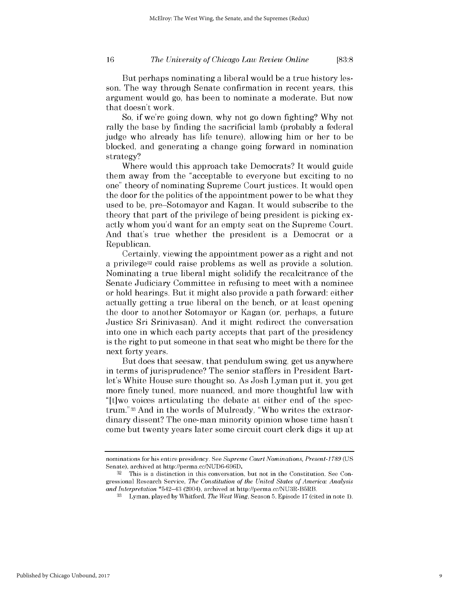### *The University of Chicago Law Review Online* **16 [83:8**

But perhaps nominating a liberal would be a true history lesson. The way through Senate confirmation in recent years, this argument would go, has been to nominate a moderate. But now that doesn't work.

So, **if** we're going down, why not go down fighting? **Why** not rally the base **by** finding the sacrificial lamb (probably a federal judge who already has life tenure), allowing him or her to be blocked, and generating a change going forward in nomination strategy?

Where would this approach take Democrats? It would guide them away from the "acceptable to everyone but exciting to no one" theory of nominating Supreme Court justices. It would open the door for the politics of the appointment power to be what they used to be, pre-Sotomayor and Kagan. It would subscribe to the theory that part of the privilege of being president is picking exactly whom you'd want for an empty seat on the Supreme Court. And that's true whether the president is a Democrat or a Republican.

Certainly, viewing the appointment power as a right and not a privilege32 could raise problems as well as provide a solution. Nominating a true liberal might solidify the recalcitrance of the Senate Judiciary Committee in refusing to meet with a nominee or hold hearings. But it might also provide a path forward: either actually getting a true liberal on the bench, or at least opening the door to another Sotomayor or Kagan (or, perhaps, a future Justice Sri Srinivasan). And it might redirect the conversation into one in which each party accepts that part of the presidency is the right to put someone in that seat who might be there for the next forty years.

But does that seesaw, that pendulum swing, get us anywhere in terms of jurisprudence? The senior staffers in President Bartlet's White House sure thought so. As Josh Lyman put it, you get more finely tuned, more nuanced, and more thoughtful law with "[t]wo voices articulating the debate at either end of the spectrum."33 And in the words of Mulready, "Who writes the extraordinary dissent? The one-man minority opinion whose time hasn't come but twenty years later some circuit court clerk digs it up at

nominations for his entire presidency. **See** *Supreme Court Nominations, Present-I 789* **(US** Senate), archived at http://perma.cc/NUD6-696D.

**<sup>32</sup>** This is a distinction in this conversation, but not in the Constitution. **See** Congressional Research Service, *The Constitution of the United States of America: Analysis and Interpretation* \*542-43 (2004), archived at http://perma.cc/NU3R-B5RB.

**<sup>33</sup>**Lyman, played **by** Whitford, *The West Wing,* Season **5,** Episode **17** (cited in note **1).**